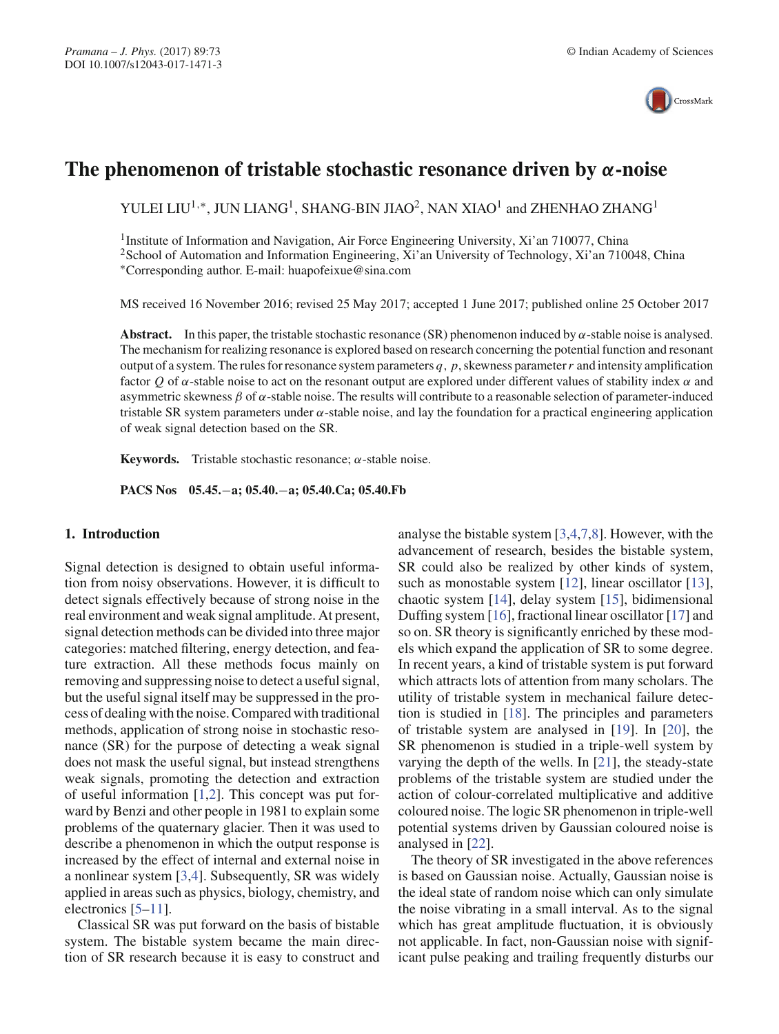

# **The phenomenon of tristable stochastic resonance driven by** *α***-noise**

YULEI LIU<sup>1,∗</sup>, JUN LIANG<sup>1</sup>, SHANG-BIN JIAO<sup>2</sup>, NAN XIAO<sup>1</sup> and ZHENHAO ZHANG<sup>1</sup>

1Institute of Information and Navigation, Air Force Engineering University, Xi'an 710077, China <sup>2</sup>School of Automation and Information Engineering, Xi'an University of Technology, Xi'an 710048, China ∗Corresponding author. E-mail: huapofeixue@sina.com

MS received 16 November 2016; revised 25 May 2017; accepted 1 June 2017; published online 25 October 2017

**Abstract.** In this paper, the tristable stochastic resonance (SR) phenomenon induced by  $\alpha$ -stable noise is analysed. The mechanism for realizing resonance is explored based on research concerning the potential function and resonant output of a system. The rules for resonance system parameters  $q$ ,  $p$ , skewness parameter  $r$  and intensity amplification factor *Q* of α-stable noise to act on the resonant output are explored under different values of stability index α and asymmetric skewness  $\beta$  of  $\alpha$ -stable noise. The results will contribute to a reasonable selection of parameter-induced tristable SR system parameters under  $\alpha$ -stable noise, and lay the foundation for a practical engineering application of weak signal detection based on the SR.

**Keywords.** Tristable stochastic resonance;  $\alpha$ -stable noise.

**PACS Nos 05.45.**−**a; 05.40.**−**a; 05.40.Ca; 05.40.Fb**

# **1. Introduction**

Signal detection is designed to obtain useful information from noisy observations. However, it is difficult to detect signals effectively because of strong noise in the real environment and weak signal amplitude. At present, signal detection methods can be divided into three major categories: matched filtering, energy detection, and feature extraction. All these methods focus mainly on removing and suppressing noise to detect a useful signal, but the useful signal itself may be suppressed in the process of dealing with the noise. Compared with traditional methods, application of strong noise in stochastic resonance (SR) for the purpose of detecting a weak signal does not mask the useful signal, but instead strengthens weak signals, promoting the detection and extraction of useful information [1,2]. This concept was put forward by Benzi and other people in 1981 to explain some problems of the quaternary glacier. Then it was used to describe a phenomenon in which the output response is increased by the effect of internal and external noise in a nonlinear system [3,4]. Subsequently, SR was widely applied in areas such as physics, biology, chemistry, and electronics [5–11].

Classical SR was put forward on the basis of bistable system. The bistable system became the main direction of SR research because it is easy to construct and analyse the bistable system [3,4,7,8]. However, with the advancement of research, besides the bistable system, SR could also be realized by other kinds of system, such as monostable system [12], linear oscillator [13], chaotic system [14], delay system [15], bidimensional Duffing system [16], fractional linear oscillator [17] and so on. SR theory is significantly enriched by these models which expand the application of SR to some degree. In recent years, a kind of tristable system is put forward which attracts lots of attention from many scholars. The utility of tristable system in mechanical failure detection is studied in [18]. The principles and parameters of tristable system are analysed in [19]. In [20], the SR phenomenon is studied in a triple-well system by varying the depth of the wells. In [21], the steady-state problems of the tristable system are studied under the action of colour-correlated multiplicative and additive coloured noise. The logic SR phenomenon in triple-well potential systems driven by Gaussian coloured noise is analysed in [22].

The theory of SR investigated in the above references is based on Gaussian noise. Actually, Gaussian noise is the ideal state of random noise which can only simulate the noise vibrating in a small interval. As to the signal which has great amplitude fluctuation, it is obviously not applicable. In fact, non-Gaussian noise with significant pulse peaking and trailing frequently disturbs our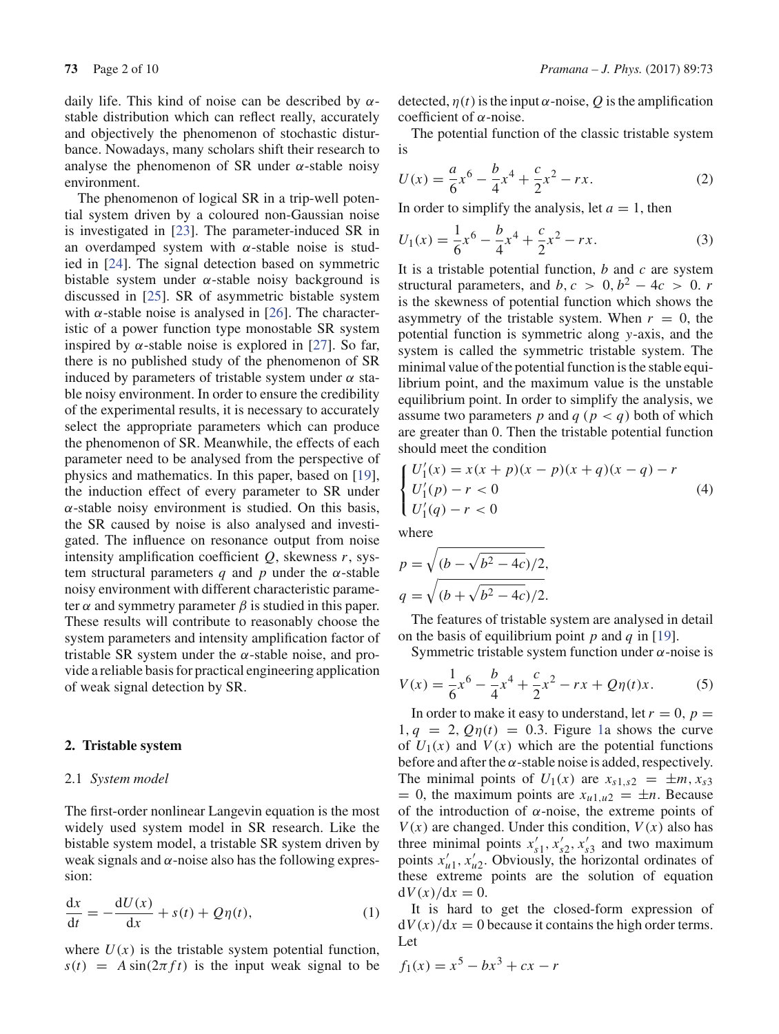daily life. This kind of noise can be described by  $\alpha$ stable distribution which can reflect really, accurately and objectively the phenomenon of stochastic disturbance. Nowadays, many scholars shift their research to analyse the phenomenon of SR under  $\alpha$ -stable noisy environment.

The phenomenon of logical SR in a trip-well potential system driven by a coloured non-Gaussian noise is investigated in [23]. The parameter-induced SR in an overdamped system with  $\alpha$ -stable noise is studied in [24]. The signal detection based on symmetric bistable system under  $\alpha$ -stable noisy background is discussed in [25]. SR of asymmetric bistable system with  $\alpha$ -stable noise is analysed in [26]. The characteristic of a power function type monostable SR system inspired by  $\alpha$ -stable noise is explored in [27]. So far, there is no published study of the phenomenon of SR induced by parameters of tristable system under  $\alpha$  stable noisy environment. In order to ensure the credibility of the experimental results, it is necessary to accurately select the appropriate parameters which can produce the phenomenon of SR. Meanwhile, the effects of each parameter need to be analysed from the perspective of physics and mathematics. In this paper, based on [19], the induction effect of every parameter to SR under  $\alpha$ -stable noisy environment is studied. On this basis, the SR caused by noise is also analysed and investigated. The influence on resonance output from noise intensity amplification coefficient *Q*, skewness *r*, system structural parameters *q* and *p* under the  $\alpha$ -stable noisy environment with different characteristic parameter  $\alpha$  and symmetry parameter  $\beta$  is studied in this paper. These results will contribute to reasonably choose the system parameters and intensity amplification factor of tristable SR system under the  $\alpha$ -stable noise, and provide a reliable basis for practical engineering application of weak signal detection by SR.

### **2. Tristable system**

## 2.1 *System model*

The first-order nonlinear Langevin equation is the most widely used system model in SR research. Like the bistable system model, a tristable SR system driven by weak signals and  $\alpha$ -noise also has the following expression:

$$
\frac{\mathrm{d}x}{\mathrm{d}t} = -\frac{\mathrm{d}U(x)}{\mathrm{d}x} + s(t) + Q\eta(t),\tag{1}
$$

where  $U(x)$  is the tristable system potential function,  $s(t) = A \sin(2\pi f t)$  is the input weak signal to be detected,  $\eta(t)$  is the input  $\alpha$ -noise,  $Q$  is the amplification coefficient of  $\alpha$ -noise.

The potential function of the classic tristable system is

$$
U(x) = \frac{a}{6}x^6 - \frac{b}{4}x^4 + \frac{c}{2}x^2 - rx.
$$
 (2)

In order to simplify the analysis, let  $a = 1$ , then

$$
U_1(x) = \frac{1}{6}x^6 - \frac{b}{4}x^4 + \frac{c}{2}x^2 - rx.
$$
 (3)

It is a tristable potential function, *b* and *c* are system structural parameters, and *b*,  $c > 0$ ,  $b^2 - 4c > 0$ . *r* is the skewness of potential function which shows the asymmetry of the tristable system. When  $r = 0$ , the potential function is symmetric along *y*-axis, and the system is called the symmetric tristable system. The minimal value of the potential function is the stable equilibrium point, and the maximum value is the unstable equilibrium point. In order to simplify the analysis, we assume two parameters *p* and  $q$  ( $p < q$ ) both of which are greater than 0. Then the tristable potential function should meet the condition

$$
\begin{cases}\nU_1'(x) = x(x+p)(x-p)(x+q)(x-q) - r \\
U_1'(p) - r < 0 \\
U_1'(q) - r < 0\n\end{cases} \tag{4}
$$

where

$$
p = \sqrt{(b - \sqrt{b^2 - 4c})/2},
$$
  
\n
$$
q = \sqrt{(b + \sqrt{b^2 - 4c})/2}.
$$

The features of tristable system are analysed in detail on the basis of equilibrium point *p* and *q* in [19].

Symmetric tristable system function under  $\alpha$ -noise is

$$
V(x) = \frac{1}{6}x^6 - \frac{b}{4}x^4 + \frac{c}{2}x^2 - rx + Q\eta(t)x.
$$
 (5)

In order to make it easy to understand, let  $r = 0$ ,  $p =$  $1, q = 2, Q\eta(t) = 0.3$ . Figure 1a shows the curve of  $U_1(x)$  and  $V(x)$  which are the potential functions before and after the  $\alpha$ -stable noise is added, respectively. The minimal points of  $U_1(x)$  are  $x_{s1,s2} = \pm m, x_{s3}$  $= 0$ , the maximum points are  $x_{u1,u2} = \pm n$ . Because of the introduction of  $\alpha$ -noise, the extreme points of  $V(x)$  are changed. Under this condition,  $V(x)$  also has three minimal points  $x'_{s1}$ ,  $x'_{s2}$ ,  $x'_{s3}$  and two maximum points  $x'_{u1}$ ,  $x'_{u2}$ . Obviously, the horizontal ordinates of these extreme points are the solution of equation  $dV(x)/dx = 0$ .

It is hard to get the closed-form expression of  $dV(x)/dx = 0$  because it contains the high order terms. Let

$$
f_1(x) = x^5 - bx^3 + cx - r
$$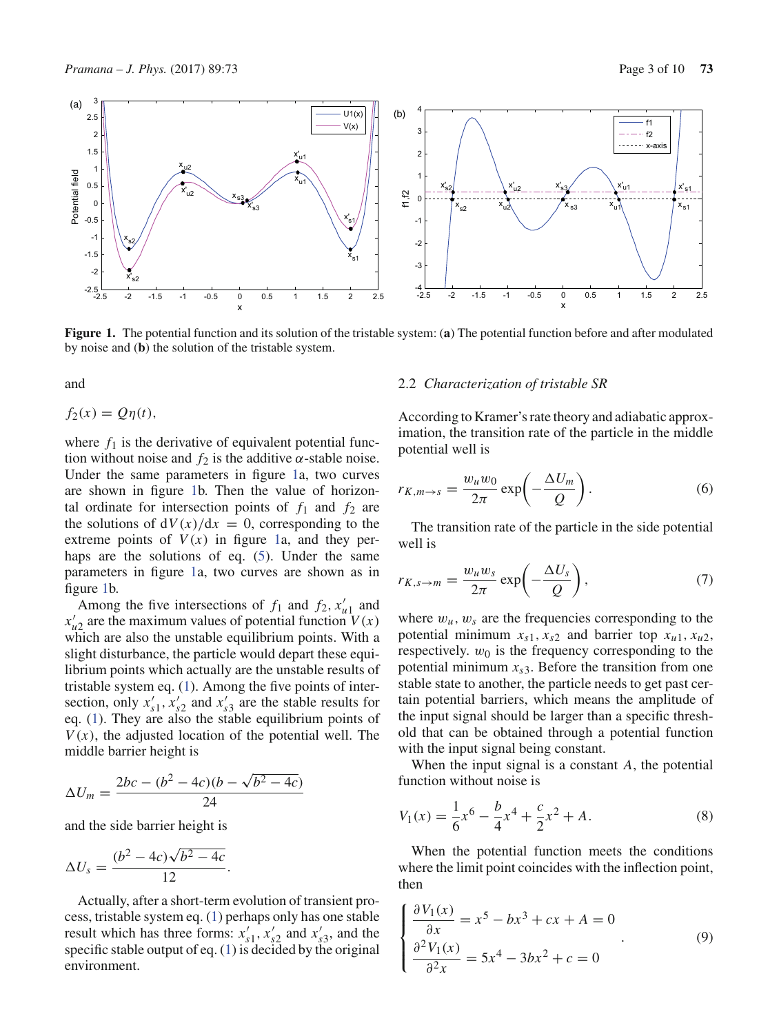

**Figure 1.** The potential function and its solution of the tristable system: (**a**) The potential function before and after modulated by noise and (**b**) the solution of the tristable system.

and

$$
f_2(x) = Q\eta(t),
$$

where  $f_1$  is the derivative of equivalent potential function without noise and  $f_2$  is the additive  $\alpha$ -stable noise. Under the same parameters in figure 1a, two curves are shown in figure 1b. Then the value of horizontal ordinate for intersection points of  $f_1$  and  $f_2$  are the solutions of  $dV(x)/dx = 0$ , corresponding to the extreme points of  $V(x)$  in figure 1a, and they perhaps are the solutions of eq. (5). Under the same parameters in figure 1a, two curves are shown as in figure 1b.

Among the five intersections of  $f_1$  and  $f_2$ ,  $x'_{u1}$  and  $x'_{u2}$  are the maximum values of potential function  $V(x)$ which are also the unstable equilibrium points. With a slight disturbance, the particle would depart these equilibrium points which actually are the unstable results of tristable system eq. (1). Among the five points of intersection, only  $x'_{s1}$ ,  $x'_{s2}$  and  $x'_{s3}$  are the stable results for eq. (1). They are also the stable equilibrium points of  $V(x)$ , the adjusted location of the potential well. The middle barrier height is

$$
\Delta U_m = \frac{2bc - (b^2 - 4c)(b - \sqrt{b^2 - 4c})}{24}
$$

and the side barrier height is

$$
\Delta U_s = \frac{(b^2 - 4c)\sqrt{b^2 - 4c}}{12}.
$$

Actually, after a short-term evolution of transient process, tristable system eq. (1) perhaps only has one stable result which has three forms:  $x'_{s1}$ ,  $x'_{s2}$  and  $x'_{s3}$ , and the specific stable output of eq.  $(1)$  is decided by the original environment.

#### 2.2 *Characterization of tristable SR*

According to Kramer's rate theory and adiabatic approximation, the transition rate of the particle in the middle potential well is

$$
r_{K,m \to s} = \frac{w_u w_0}{2\pi} \exp\left(-\frac{\Delta U_m}{Q}\right). \tag{6}
$$

The transition rate of the particle in the side potential well is

$$
r_{K,s\to m} = \frac{w_u w_s}{2\pi} \exp\left(-\frac{\Delta U_s}{Q}\right),\tag{7}
$$

where  $w_u$ ,  $w_s$  are the frequencies corresponding to the potential minimum  $x_{s1}$ ,  $x_{s2}$  and barrier top  $x_{u1}$ ,  $x_{u2}$ , respectively.  $w_0$  is the frequency corresponding to the potential minimum  $x_{s3}$ . Before the transition from one stable state to another, the particle needs to get past certain potential barriers, which means the amplitude of the input signal should be larger than a specific threshold that can be obtained through a potential function with the input signal being constant.

When the input signal is a constant *A*, the potential function without noise is

$$
V_1(x) = \frac{1}{6}x^6 - \frac{b}{4}x^4 + \frac{c}{2}x^2 + A.
$$
 (8)

When the potential function meets the conditions where the limit point coincides with the inflection point, then

$$
\begin{cases}\n\frac{\partial V_1(x)}{\partial x} = x^5 - bx^3 + cx + A = 0 \\
\frac{\partial^2 V_1(x)}{\partial^2 x} = 5x^4 - 3bx^2 + c = 0\n\end{cases}
$$
\n(9)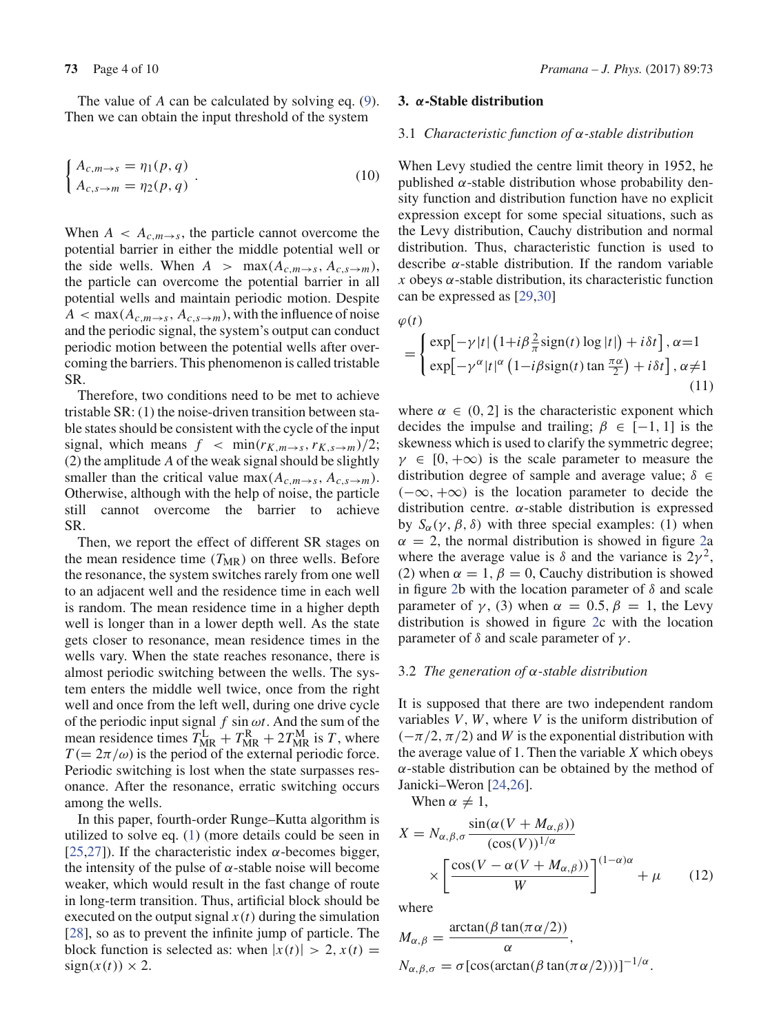The value of *A* can be calculated by solving eq. (9). Then we can obtain the input threshold of the system

$$
\begin{cases} A_{c,m \to s} = \eta_1(p,q) \\ A_{c,s \to m} = \eta_2(p,q) \end{cases} . \tag{10}
$$

When  $A \leq A_{c,m \to s}$ , the particle cannot overcome the potential barrier in either the middle potential well or the side wells. When  $A > \max(A_{c,m \to s}, A_{c,s \to m})$ , the particle can overcome the potential barrier in all potential wells and maintain periodic motion. Despite  $A < \max(A_{c,m\rightarrow s}, A_{c,s\rightarrow m})$ , with the influence of noise and the periodic signal, the system's output can conduct periodic motion between the potential wells after overcoming the barriers. This phenomenon is called tristable SR.

Therefore, two conditions need to be met to achieve tristable SR: (1) the noise-driven transition between stable states should be consistent with the cycle of the input signal, which means  $f < \min(r_{K,m\rightarrow s}, r_{K,s\rightarrow m})/2$ ; (2) the amplitude *A* of the weak signal should be slightly smaller than the critical value max( $A_{c,m\to s}$ ,  $A_{c,s\to m}$ ). Otherwise, although with the help of noise, the particle still cannot overcome the barrier to achieve SR.

Then, we report the effect of different SR stages on the mean residence time  $(T_{MR})$  on three wells. Before the resonance, the system switches rarely from one well to an adjacent well and the residence time in each well is random. The mean residence time in a higher depth well is longer than in a lower depth well. As the state gets closer to resonance, mean residence times in the wells vary. When the state reaches resonance, there is almost periodic switching between the wells. The system enters the middle well twice, once from the right well and once from the left well, during one drive cycle of the periodic input signal  $f \sin \omega t$ . And the sum of the mean residence times  $T_{MR}^L + T_{MR}^R + 2T_{MR}^M$  is *T*, where  $T (= 2\pi/\omega)$  is the period of the external periodic force. Periodic switching is lost when the state surpasses resonance. After the resonance, erratic switching occurs among the wells.

In this paper, fourth-order Runge–Kutta algorithm is utilized to solve eq. (1) (more details could be seen in [25,27]). If the characteristic index  $\alpha$ -becomes bigger, the intensity of the pulse of  $\alpha$ -stable noise will become weaker, which would result in the fast change of route in long-term transition. Thus, artificial block should be executed on the output signal  $x(t)$  during the simulation [28], so as to prevent the infinite jump of particle. The block function is selected as: when  $|x(t)| > 2$ ,  $x(t) =$  $sign(x(t)) \times 2$ .

# **3.** *α***-Stable distribution**

# 3.1 *Characteristic function of* α*-stable distribution*

When Levy studied the centre limit theory in 1952, he published  $\alpha$ -stable distribution whose probability density function and distribution function have no explicit expression except for some special situations, such as the Levy distribution, Cauchy distribution and normal distribution. Thus, characteristic function is used to describe  $\alpha$ -stable distribution. If the random variable  $x$  obeys  $\alpha$ -stable distribution, its characteristic function can be expressed as [29,30]

 $\varphi(t)$ 

$$
= \begin{cases} \exp[-\gamma |t| \left(1 + i\beta \frac{2}{\pi} sign(t) \log |t|\right) + i\delta t], \alpha = 1\\ \exp[-\gamma^{\alpha} |t|^{\alpha} \left(1 - i\beta sign(t) \tan \frac{\pi \alpha}{2}\right) + i\delta t], \alpha \neq 1 \end{cases}
$$
(11)

where  $\alpha \in (0, 2]$  is the characteristic exponent which decides the impulse and trailing;  $\beta \in [-1, 1]$  is the skewness which is used to clarify the symmetric degree;  $\gamma \in [0, +\infty)$  is the scale parameter to measure the distribution degree of sample and average value;  $\delta \in$  $(-\infty, +\infty)$  is the location parameter to decide the distribution centre.  $\alpha$ -stable distribution is expressed by *S*<sub>α</sub>( $γ$ ,  $β$ ,  $δ$ ) with three special examples: (1) when  $\alpha = 2$ , the normal distribution is showed in figure 2a where the average value is  $\delta$  and the variance is  $2\gamma^2$ , (2) when  $\alpha = 1$ ,  $\beta = 0$ , Cauchy distribution is showed in figure 2b with the location parameter of  $\delta$  and scale parameter of  $\gamma$ , (3) when  $\alpha = 0.5$ ,  $\beta = 1$ , the Levy distribution is showed in figure 2c with the location parameter of δ and scale parameter of  $γ$ .

#### 3.2 *The generation of* α*-stable distribution*

It is supposed that there are two independent random variables *V*, *W*, where *V* is the uniform distribution of  $(-\pi/2, \pi/2)$  and *W* is the exponential distribution with the average value of 1. Then the variable *X* which obeys  $\alpha$ -stable distribution can be obtained by the method of Janicki–Weron [24,26].

When  $\alpha \neq 1$ ,

$$
X = N_{\alpha,\beta,\sigma} \frac{\sin(\alpha (V + M_{\alpha,\beta}))}{(\cos(V))^{1/\alpha}} \times \left[ \frac{\cos(V - \alpha (V + M_{\alpha,\beta}))}{W} \right]^{(1-\alpha)\alpha} + \mu \qquad (12)
$$

where

$$
M_{\alpha,\beta} = \frac{\arctan(\beta \tan(\pi \alpha/2))}{\alpha},
$$
  
\n
$$
N_{\alpha,\beta,\sigma} = \sigma [\cos(\arctan(\beta \tan(\pi \alpha/2)))]^{-1/\alpha}.
$$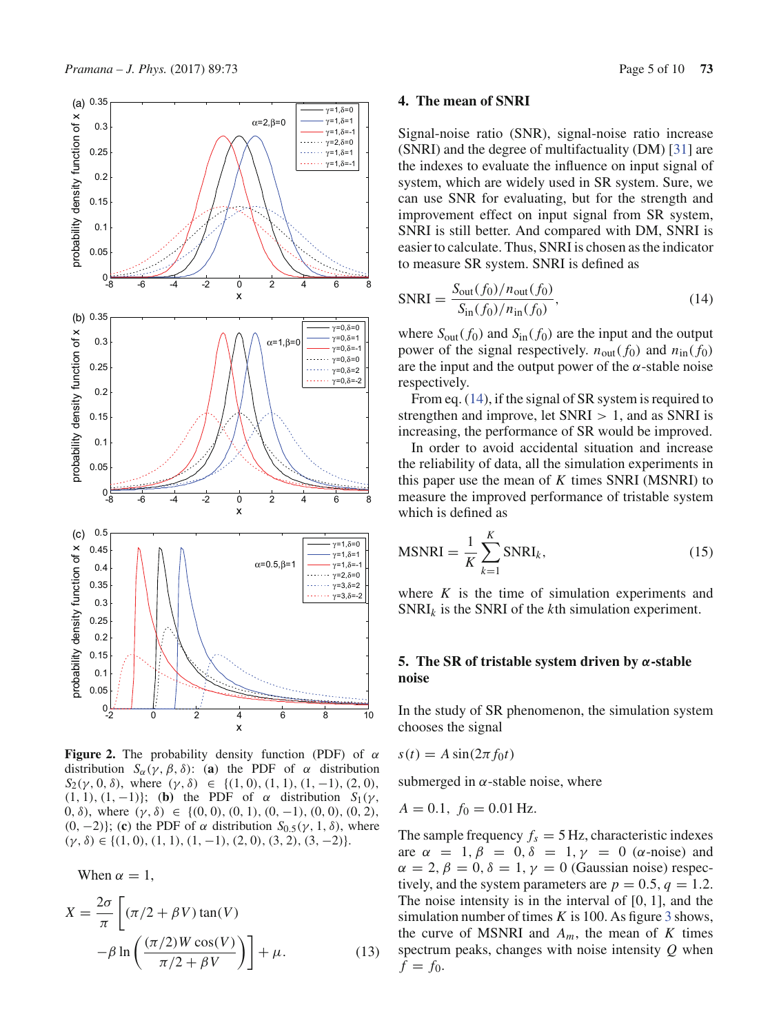

**Figure 2.** The probability density function (PDF) of  $\alpha$ distribution  $S_\alpha(\gamma, \beta, \delta)$ : (**a**) the PDF of  $\alpha$  distribution  $S_2(\gamma, 0, \delta)$ , where  $(\gamma, \delta) \in \{(1, 0), (1, 1), (1, -1), (2, 0),$ (1, 1), (1, -1)}; (**b**) the PDF of  $\alpha$  distribution  $S_1(\gamma,$ 0, δ), where  $(\gamma, \delta) \in \{ (0, 0), (0, 1), (0, -1), (0, 0), (0, 2),$ (0, -2)}; (c) the PDF of  $\alpha$  distribution  $S_{0.5}(\gamma, 1, \delta)$ , where  $(\gamma, \delta) \in \{(1, 0), (1, 1), (1, -1), (2, 0), (3, 2), (3, -2)\}.$ 

When  $\alpha = 1$ ,

$$
X = \frac{2\sigma}{\pi} \left[ (\pi/2 + \beta V) \tan(V) -\beta \ln \left( \frac{(\pi/2)W \cos(V)}{\pi/2 + \beta V} \right) \right] + \mu.
$$
 (13)

## **4. The mean of SNRI**

Signal-noise ratio (SNR), signal-noise ratio increase (SNRI) and the degree of multifactuality (DM) [31] are the indexes to evaluate the influence on input signal of system, which are widely used in SR system. Sure, we can use SNR for evaluating, but for the strength and improvement effect on input signal from SR system, SNRI is still better. And compared with DM, SNRI is easier to calculate. Thus, SNRI is chosen as the indicator to measure SR system. SNRI is defined as

$$
SNRI = \frac{S_{\text{out}}(f_0)/n_{\text{out}}(f_0)}{S_{\text{in}}(f_0)/n_{\text{in}}(f_0)},
$$
\n(14)

where  $S_{\text{out}}(f_0)$  and  $S_{\text{in}}(f_0)$  are the input and the output power of the signal respectively.  $n_{\text{out}}(f_0)$  and  $n_{\text{in}}(f_0)$ are the input and the output power of the  $\alpha$ -stable noise respectively.

From eq. (14), if the signal of SR system is required to strengthen and improve, let  $SNRI > 1$ , and as SNRI is increasing, the performance of SR would be improved.

In order to avoid accidental situation and increase the reliability of data, all the simulation experiments in this paper use the mean of *K* times SNRI (MSNRI) to measure the improved performance of tristable system which is defined as

$$
MSNRI = \frac{1}{K} \sum_{k=1}^{K} SNRI_k,
$$
\n(15)

where *K* is the time of simulation experiments and SNRI*<sup>k</sup>* is the SNRI of the *k*th simulation experiment.

# **5. The SR of tristable system driven by** *α***-stable noise**

In the study of SR phenomenon, the simulation system chooses the signal

$$
s(t) = A\sin(2\pi f_0 t)
$$

submerged in  $\alpha$ -stable noise, where

$$
A = 0.1, f_0 = 0.01 \,\text{Hz}.
$$

The sample frequency  $f_s = 5$  Hz, characteristic indexes are  $\alpha = 1, \beta = 0, \delta = 1, \gamma = 0$  ( $\alpha$ -noise) and  $\alpha = 2, \beta = 0, \delta = 1, \gamma = 0$  (Gaussian noise) respectively, and the system parameters are  $p = 0.5$ ,  $q = 1.2$ . The noise intensity is in the interval of [0, 1], and the simulation number of times  $K$  is 100. As figure 3 shows, the curve of MSNRI and  $A_m$ , the mean of  $K$  times spectrum peaks, changes with noise intensity *Q* when  $f = f_0$ .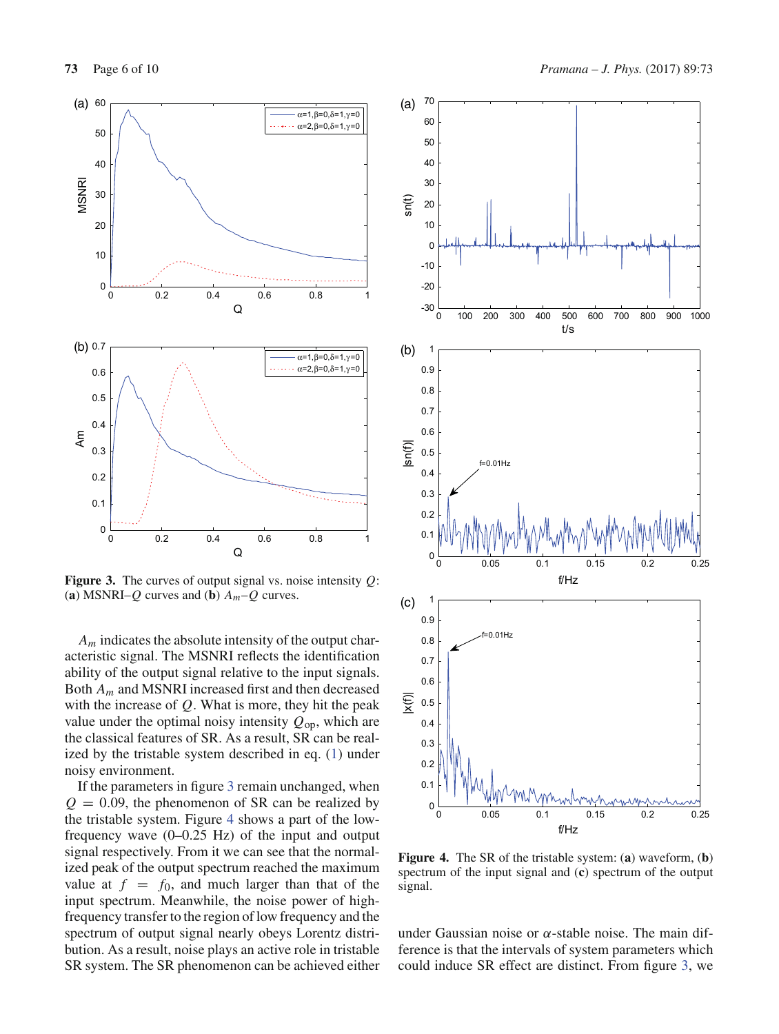

**Figure 3.** The curves of output signal vs. noise intensity *Q*: (a) MSNRI–*Q* curves and (b)  $A_m$ –*Q* curves.

*Am* indicates the absolute intensity of the output characteristic signal. The MSNRI reflects the identification ability of the output signal relative to the input signals. Both *Am* and MSNRI increased first and then decreased with the increase of *Q*. What is more, they hit the peak value under the optimal noisy intensity  $Q_{op}$ , which are the classical features of SR. As a result, SR can be realized by the tristable system described in eq. (1) under noisy environment.

If the parameters in figure 3 remain unchanged, when  $Q = 0.09$ , the phenomenon of SR can be realized by the tristable system. Figure 4 shows a part of the lowfrequency wave (0–0.25 Hz) of the input and output signal respectively. From it we can see that the normalized peak of the output spectrum reached the maximum value at  $f = f_0$ , and much larger than that of the input spectrum. Meanwhile, the noise power of highfrequency transfer to the region of low frequency and the spectrum of output signal nearly obeys Lorentz distribution. As a result, noise plays an active role in tristable SR system. The SR phenomenon can be achieved either



**Figure 4.** The SR of the tristable system: (**a**) waveform, (**b**) spectrum of the input signal and (**c**) spectrum of the output signal.

under Gaussian noise or  $\alpha$ -stable noise. The main difference is that the intervals of system parameters which could induce SR effect are distinct. From figure 3, we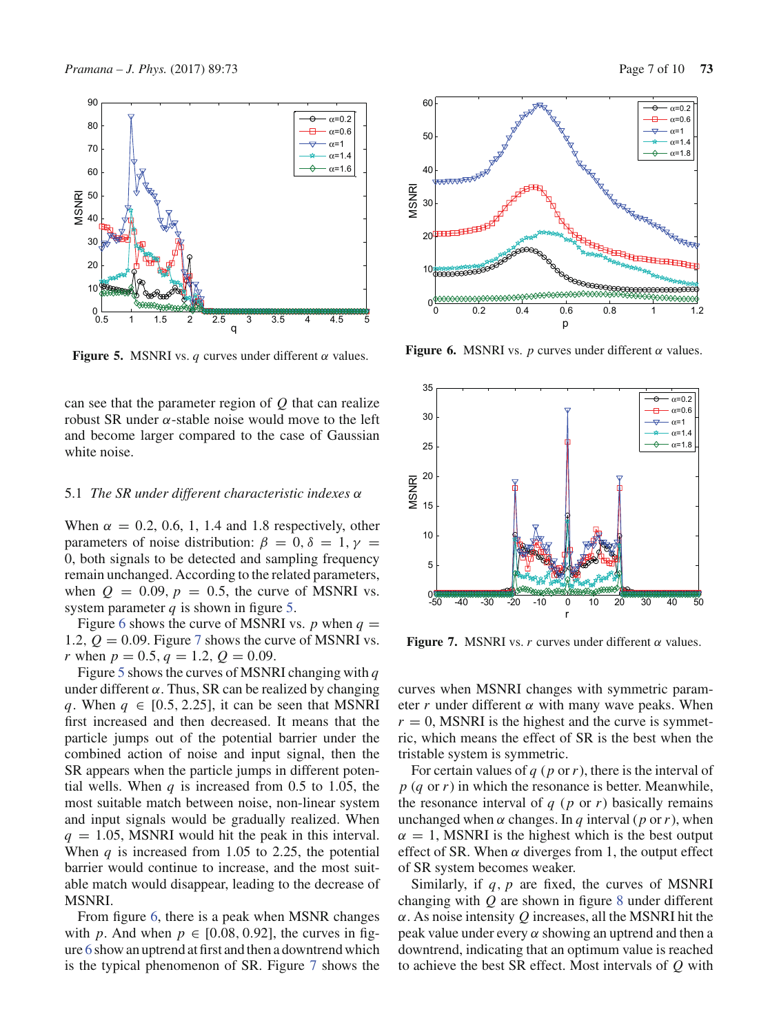

**Figure 5.** MSNRI vs.  $q$  curves under different  $\alpha$  values.

can see that the parameter region of *Q* that can realize robust SR under α-stable noise would move to the left and become larger compared to the case of Gaussian white noise.

#### 5.1 *The SR under different characteristic indexes* α

When  $\alpha = 0.2, 0.6, 1, 1.4$  and 1.8 respectively, other parameters of noise distribution:  $\beta = 0, \delta = 1, \gamma =$ 0, both signals to be detected and sampling frequency remain unchanged. According to the related parameters, when  $Q = 0.09$ ,  $p = 0.5$ , the curve of MSNRI vs. system parameter  $q$  is shown in figure 5.

Figure 6 shows the curve of MSNRI vs. *p* when  $q =$ 1.2,  $Q = 0.09$ . Figure 7 shows the curve of MSNRI vs. *r* when  $p = 0.5$ ,  $q = 1.2$ ,  $Q = 0.09$ .

Figure 5 shows the curves of MSNRI changing with *q* under different  $\alpha$ . Thus, SR can be realized by changing *q*. When  $q \in [0.5, 2.25]$ , it can be seen that MSNRI first increased and then decreased. It means that the particle jumps out of the potential barrier under the combined action of noise and input signal, then the SR appears when the particle jumps in different potential wells. When  $q$  is increased from 0.5 to 1.05, the most suitable match between noise, non-linear system and input signals would be gradually realized. When  $q = 1.05$ , MSNRI would hit the peak in this interval. When  $q$  is increased from 1.05 to 2.25, the potential barrier would continue to increase, and the most suitable match would disappear, leading to the decrease of MSNRI.

From figure 6, there is a peak when MSNR changes with *p*. And when  $p \in [0.08, 0.92]$ , the curves in figure 6 show an uptrend at first and then a downtrend which is the typical phenomenon of SR. Figure 7 shows the





**Figure 6.** MSNRI vs. *p* curves under different  $\alpha$  values.



**Figure 7.** MSNRI vs.  $r$  curves under different  $\alpha$  values.

curves when MSNRI changes with symmetric parameter *r* under different  $\alpha$  with many wave peaks. When  $r = 0$ , MSNRI is the highest and the curve is symmetric, which means the effect of SR is the best when the tristable system is symmetric.

For certain values of *q* (*p* or*r*), there is the interval of *p* (*q* or *r*) in which the resonance is better. Meanwhile, the resonance interval of  $q$  ( $p$  or  $r$ ) basically remains unchanged when  $\alpha$  changes. In  $q$  interval ( $p$  or  $r$ ), when  $\alpha = 1$ , MSNRI is the highest which is the best output effect of SR. When  $\alpha$  diverges from 1, the output effect of SR system becomes weaker.

Similarly, if *q*, *p* are fixed, the curves of MSNRI changing with *Q* are shown in figure 8 under different α. As noise intensity *Q* increases, all the MSNRI hit the peak value under every  $\alpha$  showing an uptrend and then a downtrend, indicating that an optimum value is reached to achieve the best SR effect. Most intervals of *Q* with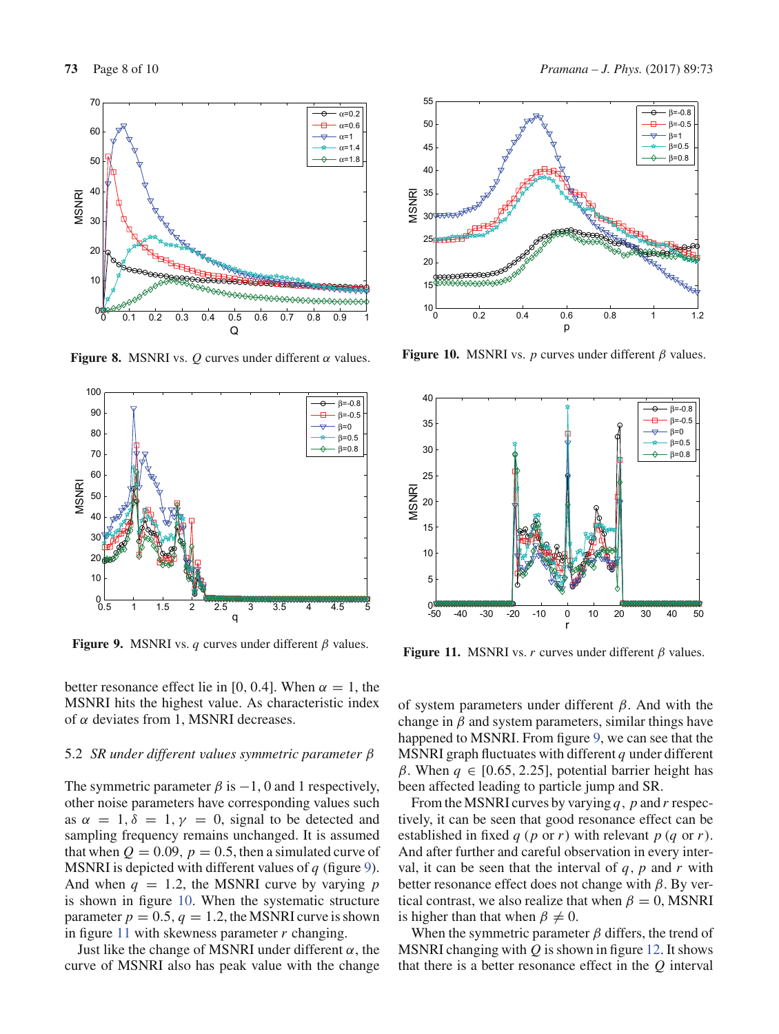

**Figure 8.** MSNRI vs.  $Q$  curves under different  $\alpha$  values.



**Figure 9.** MSNRI vs. *q* curves under different β values.

better resonance effect lie in [0, 0.4]. When  $\alpha = 1$ , the MSNRI hits the highest value. As characteristic index of  $α$  deviates from 1, MSNRI decreases.

#### 5.2 *SR under different values symmetric parameter* β

The symmetric parameter  $\beta$  is  $-1$ , 0 and 1 respectively, other noise parameters have corresponding values such as  $\alpha = 1, \delta = 1, \gamma = 0$ , signal to be detected and sampling frequency remains unchanged. It is assumed that when  $Q = 0.09$ ,  $p = 0.5$ , then a simulated curve of MSNRI is depicted with different values of *q* (figure 9). And when  $q = 1.2$ , the MSNRI curve by varying p is shown in figure 10. When the systematic structure parameter  $p = 0.5$ ,  $q = 1.2$ , the MSNRI curve is shown in figure 11 with skewness parameter *r* changing.

Just like the change of MSNRI under different  $\alpha$ , the curve of MSNRI also has peak value with the change



**Figure 10.** MSNRI vs.  $p$  curves under different  $\beta$  values.



**Figure 11.** MSNRI vs. *r* curves under different  $\beta$  values.

of system parameters under different  $\beta$ . And with the change in  $\beta$  and system parameters, similar things have happened to MSNRI. From figure 9, we can see that the MSNRI graph fluctuates with different *q* under different β. When  $q \in [0.65, 2.25]$ , potential barrier height has been affected leading to particle jump and SR.

From the MSNRI curves by varying *q*, *p* and *r* respectively, it can be seen that good resonance effect can be established in fixed *q* (*p* or *r*) with relevant *p* (*q* or *r*). And after further and careful observation in every interval, it can be seen that the interval of  $q$ ,  $p$  and  $r$  with better resonance effect does not change with  $\beta$ . By vertical contrast, we also realize that when  $\beta = 0$ , MSNRI is higher than that when  $\beta \neq 0$ .

When the symmetric parameter  $\beta$  differs, the trend of MSNRI changing with *Q* is shown in figure 12. It shows that there is a better resonance effect in the *Q* interval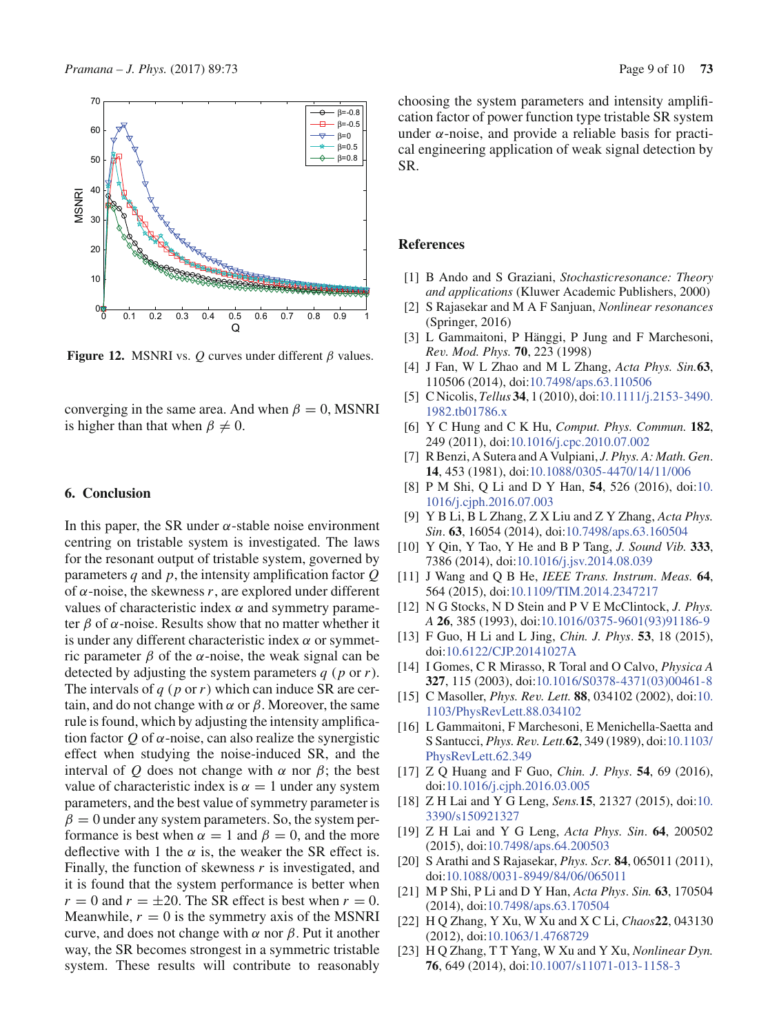

**Figure 12.** MSNRI vs.  $Q$  curves under different  $\beta$  values.

converging in the same area. And when  $\beta = 0$ , MSNRI is higher than that when  $\beta \neq 0$ .

## **6. Conclusion**

In this paper, the SR under  $\alpha$ -stable noise environment centring on tristable system is investigated. The laws for the resonant output of tristable system, governed by parameters *q* and *p*, the intensity amplification factor *Q* of  $\alpha$ -noise, the skewness  $r$ , are explored under different values of characteristic index  $\alpha$  and symmetry parameter  $\beta$  of  $\alpha$ -noise. Results show that no matter whether it is under any different characteristic index  $\alpha$  or symmetric parameter β of the α-noise, the weak signal can be detected by adjusting the system parameters *q* (*p* or *r*). The intervals of *q* (*p* or*r*) which can induce SR are certain, and do not change with  $\alpha$  or  $\beta$ . Moreover, the same rule is found, which by adjusting the intensity amplification factor  $Q$  of  $\alpha$ -noise, can also realize the synergistic effect when studying the noise-induced SR, and the interval of *Q* does not change with  $\alpha$  nor  $\beta$ ; the best value of characteristic index is  $\alpha = 1$  under any system parameters, and the best value of symmetry parameter is  $\beta = 0$  under any system parameters. So, the system performance is best when  $\alpha = 1$  and  $\beta = 0$ , and the more deflective with 1 the  $\alpha$  is, the weaker the SR effect is. Finally, the function of skewness *r* is investigated, and it is found that the system performance is better when  $r = 0$  and  $r = \pm 20$ . The SR effect is best when  $r = 0$ . Meanwhile,  $r = 0$  is the symmetry axis of the MSNRI curve, and does not change with  $\alpha$  nor  $\beta$ . Put it another way, the SR becomes strongest in a symmetric tristable system. These results will contribute to reasonably choosing the system parameters and intensity amplification factor of power function type tristable SR system under  $\alpha$ -noise, and provide a reliable basis for practical engineering application of weak signal detection by SR.

## **References**

- [1] B Ando and S Graziani, *Stochasticresonance: Theory and applications* (Kluwer Academic Publishers, 2000)
- [2] S Rajasekar and M A F Sanjuan, *Nonlinear resonances* (Springer, 2016)
- [3] L Gammaitoni, P Hänggi, P Jung and F Marchesoni, *Rev. Mod. Phys.* **70**, 223 (1998)
- [4] J Fan, W L Zhao and M L Zhang, *Acta Phys. Sin.***63**, 110506 (2014), doi:10.7498/aps.63.110506
- [5] C Nicolis, *Tellus* **34**, 1 (2010), doi:10.1111/j.2153-3490. 1982.tb01786.x
- [6] Y C Hung and C K Hu, *Comput. Phys. Commun.* **182**, 249 (2011), doi:10.1016/j.cpc.2010.07.002
- [7] R Benzi, A Sutera and A Vulpiani, *J. Phys. A: Math. Gen*. **14**, 453 (1981), doi:10.1088/0305-4470/14/11/006
- [8] P M Shi, Q Li and D Y Han, **54**, 526 (2016), doi:10. 1016/j.cjph.2016.07.003
- [9] Y B Li, B L Zhang, Z X Liu and Z Y Zhang, *Acta Phys. Sin*. **63**, 16054 (2014), doi:10.7498/aps.63.160504
- [10] Y Qin, Y Tao, Y He and B P Tang, *J. Sound Vib.* **333**, 7386 (2014), doi:10.1016/j.jsv.2014.08.039
- [11] J Wang and Q B He, *IEEE Trans. Instrum*. *Meas.* **64**, 564 (2015), doi:10.1109/TIM.2014.2347217
- [12] N G Stocks, N D Stein and P V E McClintock, *J. Phys. A* **26**, 385 (1993), doi:10.1016/0375-9601(93)91186-9
- [13] F Guo, H Li and L Jing, *Chin. J. Phys*. **53**, 18 (2015), doi:10.6122/CJP.20141027A
- [14] I Gomes, C R Mirasso, R Toral and O Calvo, *Physica A* **327**, 115 (2003), doi:10.1016/S0378-4371(03)00461-8
- [15] C Masoller, *Phys. Rev. Lett.* **88**, 034102 (2002), doi:10. 1103/PhysRevLett.88.034102
- [16] L Gammaitoni, F Marchesoni, E Menichella-Saetta and S Santucci, *Phys. Rev. Lett.***62**, 349 (1989), doi:10.1103/ PhysRevLett.62.349
- [17] Z Q Huang and F Guo, *Chin. J. Phys*. **54**, 69 (2016), doi:10.1016/j.cjph.2016.03.005
- [18] Z H Lai and Y G Leng, *Sens.***15**, 21327 (2015), doi:10. 3390/s150921327
- [19] Z H Lai and Y G Leng, *Acta Phys. Sin*. **64**, 200502 (2015), doi:10.7498/aps.64.200503
- [20] S Arathi and S Rajasekar, *Phys. Scr.* **84**, 065011 (2011), doi:10.1088/0031-8949/84/06/065011
- [21] M P Shi, P Li and D Y Han, *Acta Phys*. *Sin.* **63**, 170504 (2014), doi:10.7498/aps.63.170504
- [22] H Q Zhang, Y Xu, W Xu and X C Li, *Chaos***22**, 043130 (2012), doi:10.1063/1.4768729
- [23] H Q Zhang, T T Yang, W Xu and Y Xu, *Nonlinear Dyn.* **76**, 649 (2014), doi:10.1007/s11071-013-1158-3